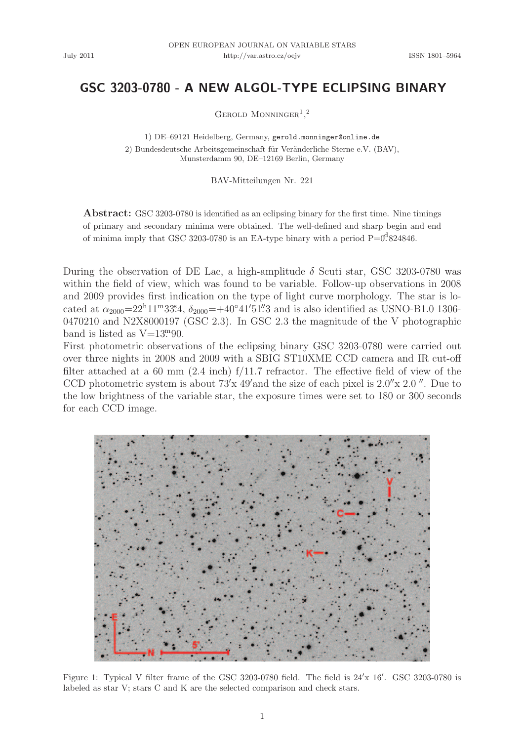## $GSC$  3203-0780 - A NEW ALGOL-TYPE ECLIPSING BINARY

GEROLD MONNINGER<sup>1</sup>,<sup>2</sup>

1) DE–69121 Heidelberg, Germany, gerold.monninger@online.de

2) Bundesdeutsche Arbeitsgemeinschaft für Veränderliche Sterne e.V. (BAV), Munsterdamm 90, DE–12169 Berlin, Germany

BAV-Mitteilungen Nr. 221

Abstract: GSC 3203-0780 is identified as an eclipsing binary for the first time. Nine timings of primary and secondary minima were obtained. The well-defined and sharp begin and end of minima imply that GSC 3203-0780 is an EA-type binary with a period  $P=0.824846$ .

During the observation of DE Lac, a high-amplitude  $\delta$  Scuti star, GSC 3203-0780 was within the field of view, which was found to be variable. Follow-up observations in 2008 and 2009 provides first indication on the type of light curve morphology. The star is located at  $\alpha_{2000} = 22^{\text{h}} 11^{\text{m}} 33^{\text{s}} 4$ ,  $\delta_{2000} = +40^{\circ} 41' 51'' 3$  and is also identified as USNO-B1.0 1306-0470210 and N2X8000197 (GSC 2.3). In GSC 2.3 the magnitude of the V photographic band is listed as  $V=13^{m}90$ .

First photometric observations of the eclipsing binary GSC 3203-0780 were carried out over three nights in 2008 and 2009 with a SBIG ST10XME CCD camera and IR cut-off filter attached at a 60 mm (2.4 inch) f/11.7 refractor. The effective field of view of the CCD photometric system is about  $73'x$  49′and the size of each pixel is  $2.0''x$   $2.0''$ . Due to the low brightness of the variable star, the exposure times were set to 180 or 300 seconds for each CCD image.



Figure 1: Typical V filter frame of the GSC 3203-0780 field. The field is  $24'x$  16'. GSC 3203-0780 is labeled as star V; stars C and K are the selected comparison and check stars.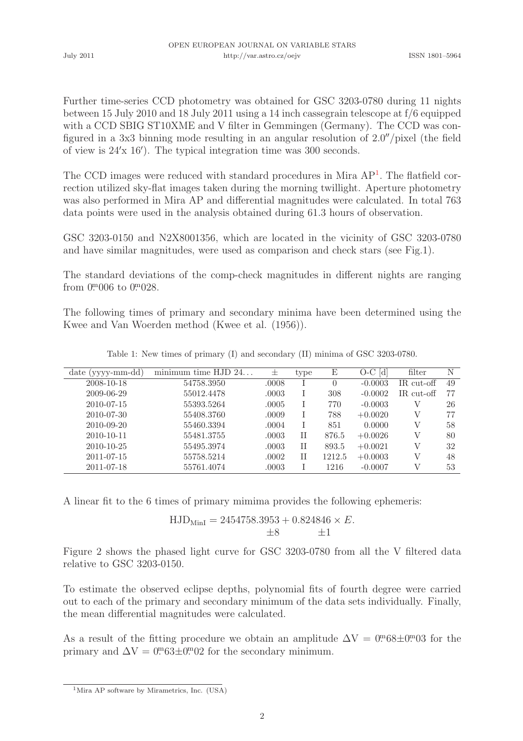July 2011

Further time-series CCD photometry was obtained for GSC 3203-0780 during 11 nights between 15 July 2010 and 18 July 2011 using a 14 inch cassegrain telescope at f/6 equipped with a CCD SBIG ST10XME and V filter in Gemmingen (Germany). The CCD was configured in a 3x3 binning mode resulting in an angular resolution of 2.0′′/pixel (the field of view is 24′x 16′ ). The typical integration time was 300 seconds.

The CCD images were reduced with standard procedures in Mira AP<sup>1</sup>. The flatfield correction utilized sky-flat images taken during the morning twillight. Aperture photometry was also performed in Mira AP and differential magnitudes were calculated. In total 763 data points were used in the analysis obtained during 61.3 hours of observation.

GSC 3203-0150 and N2X8001356, which are located in the vicinity of GSC 3203-0780 and have similar magnitudes, were used as comparison and check stars (see Fig.1).

The standard deviations of the comp-check magnitudes in different nights are ranging from  $0^{\text{m}} 006$  to  $0^{\text{m}} 028$ .

The following times of primary and secondary minima have been determined using the Kwee and Van Woerden method (Kwee et al. (1956)).

| $date (yyy-mm-dd)$ | minimum time $HJD 24$ | 士     | type | Е        | $O-C$ [d] | filter      | Ν  |
|--------------------|-----------------------|-------|------|----------|-----------|-------------|----|
| 2008-10-18         | 54758.3950            | .0008 |      | $\Omega$ | $-0.0003$ | IR cut-off  | 49 |
| 2009-06-29         | 55012.4478            | .0003 |      | 308      | $-0.0002$ | $IRcut-off$ | 77 |
| 2010-07-15         | 55393.5264            | .0005 |      | 770      | $-0.0003$ |             | 26 |
| 2010-07-30         | 55408.3760            | .0009 |      | 788      | $+0.0020$ | V           | 77 |
| 2010-09-20         | 55460.3394            | .0004 |      | 851      | 0.0000    | V           | 58 |
| 2010-10-11         | 55481.3755            | .0003 | Н    | 876.5    | $+0.0026$ | V           | 80 |
| 2010-10-25         | 55495.3974            | .0003 | Н    | 893.5    | $+0.0021$ | V           | 32 |
| 2011-07-15         | 55758.5214            | .0002 | Н    | 1212.5   | $+0.0003$ | V           | 48 |
| 2011-07-18         | 55761.4074            | .0003 |      | 1216     | $-0.0007$ | V           | 53 |

Table 1: New times of primary (I) and secondary (II) minima of GSC 3203-0780.

A linear fit to the 6 times of primary mimima provides the following ephemeris:

$$
\mathrm{HJD_{MinI}} = 2454758.3953 + 0.824846 \times E. \\ \pm 8 \qquad \pm 1
$$

Figure 2 shows the phased light curve for GSC 3203-0780 from all the V filtered data relative to GSC 3203-0150.

To estimate the observed eclipse depths, polynomial fits of fourth degree were carried out to each of the primary and secondary minimum of the data sets individually. Finally, the mean differential magnitudes were calculated.

As a result of the fitting procedure we obtain an amplitude  $\Delta V = 0.08 \pm 0.003$  for the primary and  $\Delta V = 0^{m} 63 \pm 0^{m} 02$  for the secondary minimum.

<sup>1</sup>Mira AP software by Mirametrics, Inc. (USA)